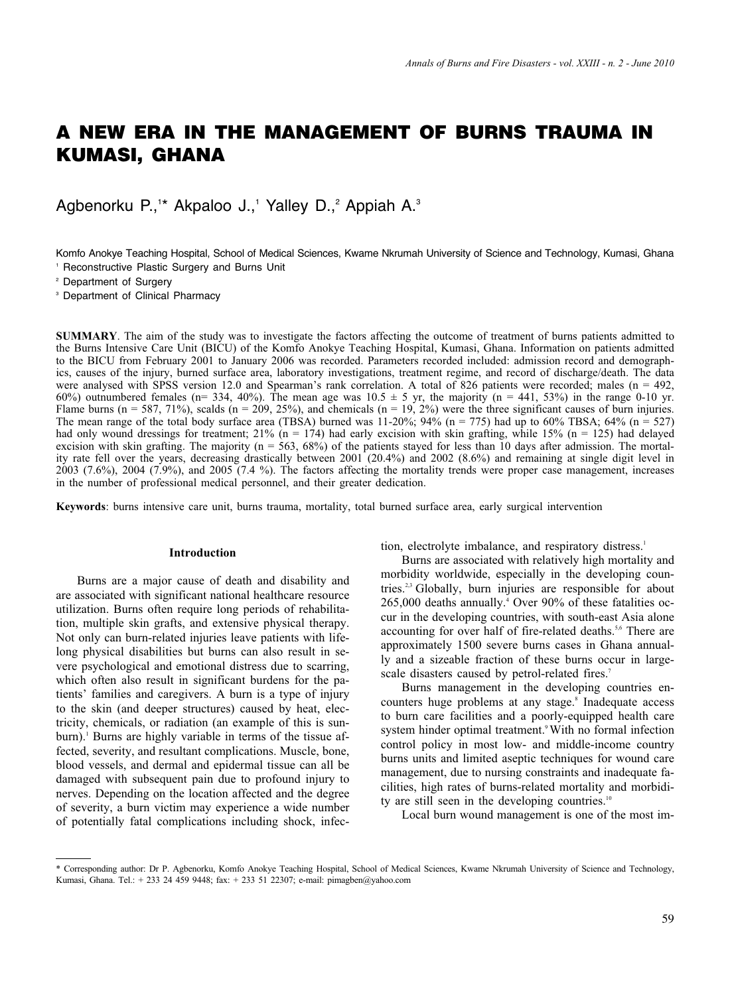# **A NEW ERA IN THE MANAGEMENT OF BURNS TRAUMA IN KUMASI, GHANA**

Agbenorku P.,<sup>1\*</sup> Akpaloo J.,<sup>1</sup> Yalley D.,<sup>2</sup> Appiah A.<sup>3</sup>

Komfo Anokye Teaching Hospital, School of Medical Sciences, Kwame Nkrumah University of Science and Technology, Kumasi, Ghana Reconstructive Plastic Surgery and Burns Unit

<sup>2</sup> Department of Surgery

<sup>3</sup> Department of Clinical Pharmacy

**SUMMARY**. The aim of the study was to investigate the factors affecting the outcome of treatment of burns patients admitted to the Burns Intensive Care Unit (BICU) of the Komfo Anokye Teaching Hospital, Kumasi, Ghana. Information on patients admitted to the BICU from February 2001 to January 2006 was recorded. Parameters recorded included: admission record and demographics, causes of the injury, burned surface area, laboratory investigations, treatment regime, and record of discharge/death. The data were analysed with SPSS version 12.0 and Spearman's rank correlation. A total of 826 patients were recorded; males (n = 492, 60%) outnumbered females (n= 334, 40%). The mean age was  $10.5 \pm 5$  yr, the majority (n = 441, 53%) in the range 0-10 yr. Flame burns (n = 587, 71%), scalds (n = 209, 25%), and chemicals (n = 19, 2%) were the three significant causes of burn injuries. The mean range of the total body surface area (TBSA) burned was  $11-20\%$ ;  $94\%$  (n = 775) had up to 60% TBSA; 64% (n = 527) had only wound dressings for treatment; 21% ( $n = 174$ ) had early excision with skin grafting, while 15% ( $n = 125$ ) had delayed excision with skin grafting. The majority  $(n = 563, 68%)$  of the patients stayed for less than 10 days after admission. The mortality rate fell over the years, decreasing drastically between 2001 (20.4%) and 2002 (8.6%) and remaining at single digit level in 2003 (7.6%), 2004 (7.9%), and 2005 (7.4 %). The factors affecting the mortality trends were proper case management, increases in the number of professional medical personnel, and their greater dedication.

**Keywords**: burns intensive care unit, burns trauma, mortality, total burned surface area, early surgical intervention

#### **Introduction**

Burns are a major cause of death and disability and are associated with significant national healthcare resource utilization. Burns often require long periods of rehabilitation, multiple skin grafts, and extensive physical therapy. Not only can burn-related injuries leave patients with lifelong physical disabilities but burns can also result in severe psychological and emotional distress due to scarring, which often also result in significant burdens for the patients' families and caregivers. A burn is a type of injury to the skin (and deeper structures) caused by heat, electricity, chemicals, or radiation (an example of this is sunburn).<sup>1</sup> Burns are highly variable in terms of the tissue affected, severity, and resultant complications. Muscle, bone, blood vessels, and dermal and epidermal tissue can all be damaged with subsequent pain due to profound injury to nerves. Depending on the location affected and the degree of severity, a burn victim may experience a wide number of potentially fatal complications including shock, infection, electrolyte imbalance, and respiratory distress.<sup>1</sup>

Burns are associated with relatively high mortality and morbidity worldwide, especially in the developing countries.2,3 Globally, burn injuries are responsible for about 265,000 deaths annually.<sup>4</sup> Over 90% of these fatalities occur in the developing countries, with south-east Asia alone accounting for over half of fire-related deaths.<sup>5,6</sup> There are approximately 1500 severe burns cases in Ghana annually and a sizeable fraction of these burns occur in largescale disasters caused by petrol-related fires.<sup>7</sup>

Burns management in the developing countries encounters huge problems at any stage.<sup>8</sup> Inadequate access to burn care facilities and a poorly-equipped health care system hinder optimal treatment.<sup>9</sup> With no formal infection control policy in most low- and middle-income country burns units and limited aseptic techniques for wound care management, due to nursing constraints and inadequate facilities, high rates of burns-related mortality and morbidity are still seen in the developing countries.<sup>10</sup>

Local burn wound management is one of the most im-

<sup>\*</sup> Corresponding author: Dr P. Agbenorku, Komfo Anokye Teaching Hospital, School of Medical Sciences, Kwame Nkrumah University of Science and Technology, Kumasi, Ghana. Tel.: + 233 24 459 9448; fax: + 233 51 22307; e-mail: pimagben@yahoo.com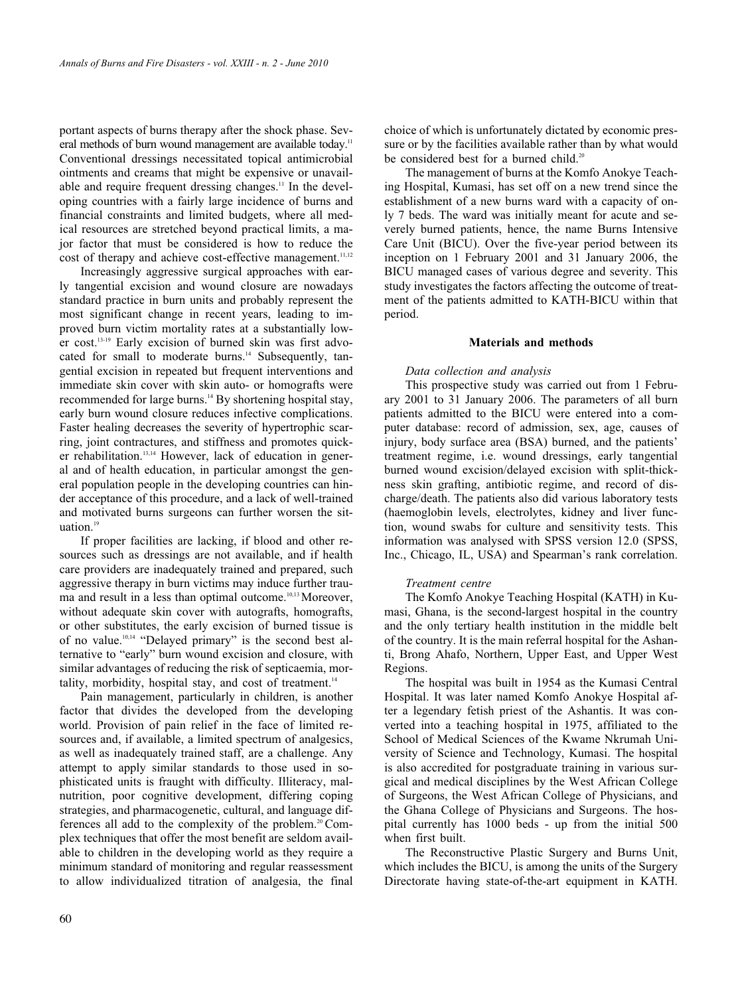portant aspects of burns therapy after the shock phase. Several methods of burn wound management are available today.<sup>11</sup> Conventional dressings necessitated topical antimicrobial ointments and creams that might be expensive or unavailable and require frequent dressing changes.<sup>11</sup> In the developing countries with a fairly large incidence of burns and financial constraints and limited budgets, where all medical resources are stretched beyond practical limits, a major factor that must be considered is how to reduce the cost of therapy and achieve cost-effective management.<sup>11,12</sup>

Increasingly aggressive surgical approaches with early tangential excision and wound closure are nowadays standard practice in burn units and probably represent the most significant change in recent years, leading to improved burn victim mortality rates at a substantially lower cost.13-19 Early excision of burned skin was first advocated for small to moderate burns.<sup>14</sup> Subsequently, tangential excision in repeated but frequent interventions and immediate skin cover with skin auto- or homografts were recommended for large burns.<sup>14</sup> By shortening hospital stay, early burn wound closure reduces infective complications. Faster healing decreases the severity of hypertrophic scarring, joint contractures, and stiffness and promotes quicker rehabilitation.<sup>13,14</sup> However, lack of education in general and of health education, in particular amongst the general population people in the developing countries can hinder acceptance of this procedure, and a lack of well-trained and motivated burns surgeons can further worsen the situation. $19$ 

If proper facilities are lacking, if blood and other resources such as dressings are not available, and if health care providers are inadequately trained and prepared, such aggressive therapy in burn victims may induce further trauma and result in a less than optimal outcome.<sup>10,13</sup> Moreover, without adequate skin cover with autografts, homografts, or other substitutes, the early excision of burned tissue is of no value.<sup>10,14</sup> "Delayed primary" is the second best alternative to "early" burn wound excision and closure, with similar advantages of reducing the risk of septicaemia, mortality, morbidity, hospital stay, and cost of treatment. $14$ 

Pain management, particularly in children, is another factor that divides the developed from the developing world. Provision of pain relief in the face of limited resources and, if available, a limited spectrum of analgesics, as well as inadequately trained staff, are a challenge. Any attempt to apply similar standards to those used in sophisticated units is fraught with difficulty. Illiteracy, malnutrition, poor cognitive development, differing coping strategies, and pharmacogenetic, cultural, and language differences all add to the complexity of the problem.<sup>20</sup> Complex techniques that offer the most benefit are seldom available to children in the developing world as they require a minimum standard of monitoring and regular reassessment to allow individualized titration of analgesia, the final choice of which is unfortunately dictated by economic pressure or by the facilities available rather than by what would be considered best for a burned child.<sup>20</sup>

The management of burns at the Komfo Anokye Teaching Hospital, Kumasi, has set off on a new trend since the establishment of a new burns ward with a capacity of only 7 beds. The ward was initially meant for acute and severely burned patients, hence, the name Burns Intensive Care Unit (BICU). Over the five-year period between its inception on 1 February 2001 and 31 January 2006, the BICU managed cases of various degree and severity. This study investigates the factors affecting the outcome of treatment of the patients admitted to KATH-BICU within that period.

#### **Materials and methods**

#### *Data collection and analysis*

This prospective study was carried out from 1 February 2001 to 31 January 2006. The parameters of all burn patients admitted to the BICU were entered into a computer database: record of admission, sex, age, causes of injury, body surface area (BSA) burned, and the patients' treatment regime, i.e. wound dressings, early tangential burned wound excision/delayed excision with split-thickness skin grafting, antibiotic regime, and record of discharge/death. The patients also did various laboratory tests (haemoglobin levels, electrolytes, kidney and liver function, wound swabs for culture and sensitivity tests. This information was analysed with SPSS version 12.0 (SPSS, Inc., Chicago, IL, USA) and Spearman's rank correlation.

#### *Treatment centre*

The Komfo Anokye Teaching Hospital (KATH) in Kumasi, Ghana, is the second-largest hospital in the country and the only tertiary health institution in the middle belt of the country. It is the main referral hospital for the Ashanti, Brong Ahafo, Northern, Upper East, and Upper West Regions.

The hospital was built in 1954 as the Kumasi Central Hospital. It was later named Komfo Anokye Hospital after a legendary fetish priest of the Ashantis. It was converted into a teaching hospital in 1975, affiliated to the School of Medical Sciences of the Kwame Nkrumah University of Science and Technology, Kumasi. The hospital is also accredited for postgraduate training in various surgical and medical disciplines by the West African College of Surgeons, the West African College of Physicians, and the Ghana College of Physicians and Surgeons. The hospital currently has 1000 beds - up from the initial 500 when first built.

The Reconstructive Plastic Surgery and Burns Unit, which includes the BICU, is among the units of the Surgery Directorate having state-of-the-art equipment in KATH.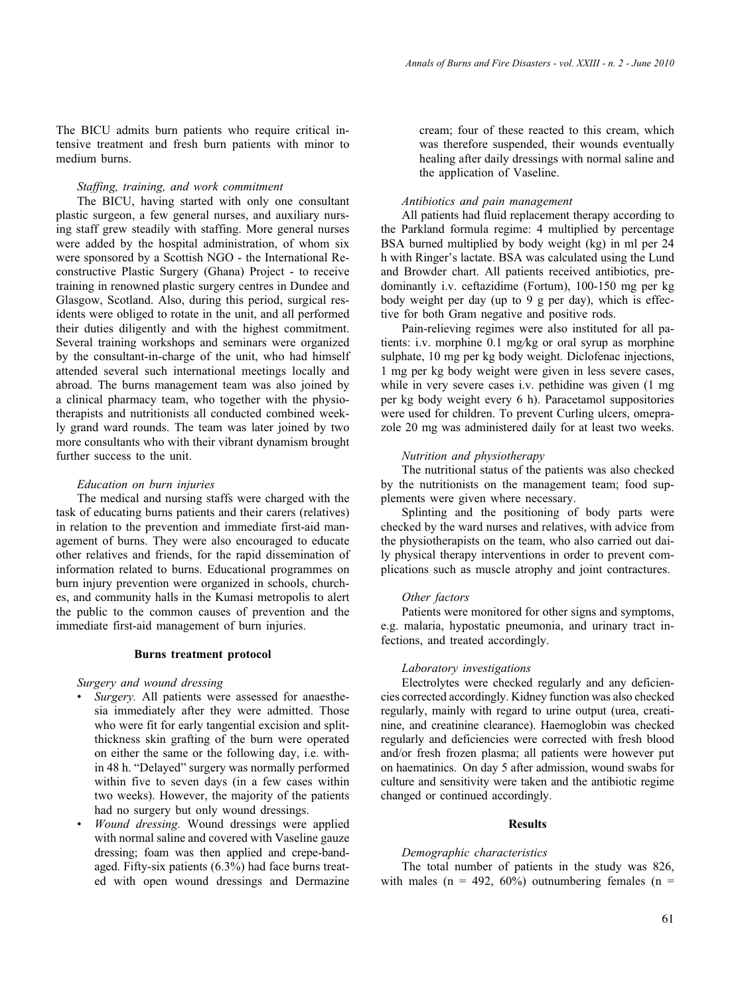The BICU admits burn patients who require critical intensive treatment and fresh burn patients with minor to medium burns.

# *Staffing, training, and work commitment*

The BICU, having started with only one consultant plastic surgeon, a few general nurses, and auxiliary nursing staff grew steadily with staffing. More general nurses were added by the hospital administration, of whom six were sponsored by a Scottish NGO - the International Reconstructive Plastic Surgery (Ghana) Project - to receive training in renowned plastic surgery centres in Dundee and Glasgow, Scotland. Also, during this period, surgical residents were obliged to rotate in the unit, and all performed their duties diligently and with the highest commitment. Several training workshops and seminars were organized by the consultant-in-charge of the unit, who had himself attended several such international meetings locally and abroad. The burns management team was also joined by a clinical pharmacy team, who together with the physiotherapists and nutritionists all conducted combined weekly grand ward rounds. The team was later joined by two more consultants who with their vibrant dynamism brought further success to the unit.

#### *Education on burn injuries*

The medical and nursing staffs were charged with the task of educating burns patients and their carers (relatives) in relation to the prevention and immediate first-aid management of burns. They were also encouraged to educate other relatives and friends, for the rapid dissemination of information related to burns. Educational programmes on burn injury prevention were organized in schools, churches, and community halls in the Kumasi metropolis to alert the public to the common causes of prevention and the immediate first-aid management of burn injuries.

#### **Burns treatment protocol**

#### *Surgery and wound dressing*

- *Surgery.* All patients were assessed for anaesthesia immediately after they were admitted. Those who were fit for early tangential excision and splitthickness skin grafting of the burn were operated on either the same or the following day, i.e. within 48 h. "Delayed" surgery was normally performed within five to seven days (in a few cases within two weeks). However, the majority of the patients had no surgery but only wound dressings.
- *Wound dressing.* Wound dressings were applied with normal saline and covered with Vaseline gauze dressing; foam was then applied and crepe-bandaged. Fifty-six patients (6.3%) had face burns treated with open wound dressings and Dermazine

cream; four of these reacted to this cream, which was therefore suspended, their wounds eventually healing after daily dressings with normal saline and the application of Vaseline.

#### *Antibiotics and pain management*

All patients had fluid replacement therapy according to the Parkland formula regime: 4 multiplied by percentage BSA burned multiplied by body weight (kg) in ml per 24 h with Ringer's lactate. BSA was calculated using the Lund and Browder chart. All patients received antibiotics, predominantly i.v. ceftazidime (Fortum), 100-150 mg per kg body weight per day (up to 9 g per day), which is effective for both Gram negative and positive rods.

Pain-relieving regimes were also instituted for all patients: i.v. morphine 0.1 mg*/*kg or oral syrup as morphine sulphate, 10 mg per kg body weight. Diclofenac injections, 1 mg per kg body weight were given in less severe cases, while in very severe cases i.v. pethidine was given (1 mg per kg body weight every 6 h). Paracetamol suppositories were used for children. To prevent Curling ulcers, omeprazole 20 mg was administered daily for at least two weeks.

## *Nutrition and physiotherapy*

The nutritional status of the patients was also checked by the nutritionists on the management team; food supplements were given where necessary.

Splinting and the positioning of body parts were checked by the ward nurses and relatives, with advice from the physiotherapists on the team, who also carried out daily physical therapy interventions in order to prevent complications such as muscle atrophy and joint contractures.

## *Other factors*

Patients were monitored for other signs and symptoms, e.g. malaria, hypostatic pneumonia, and urinary tract infections, and treated accordingly.

#### *Laboratory investigations*

Electrolytes were checked regularly and any deficiencies corrected accordingly. Kidney function was also checked regularly, mainly with regard to urine output (urea, creatinine, and creatinine clearance). Haemoglobin was checked regularly and deficiencies were corrected with fresh blood and/or fresh frozen plasma; all patients were however put on haematinics. On day 5 after admission, wound swabs for culture and sensitivity were taken and the antibiotic regime changed or continued accordingly.

## **Results**

## *Demographic characteristics*

The total number of patients in the study was 826, with males ( $n = 492, 60\%$ ) outnumbering females ( $n =$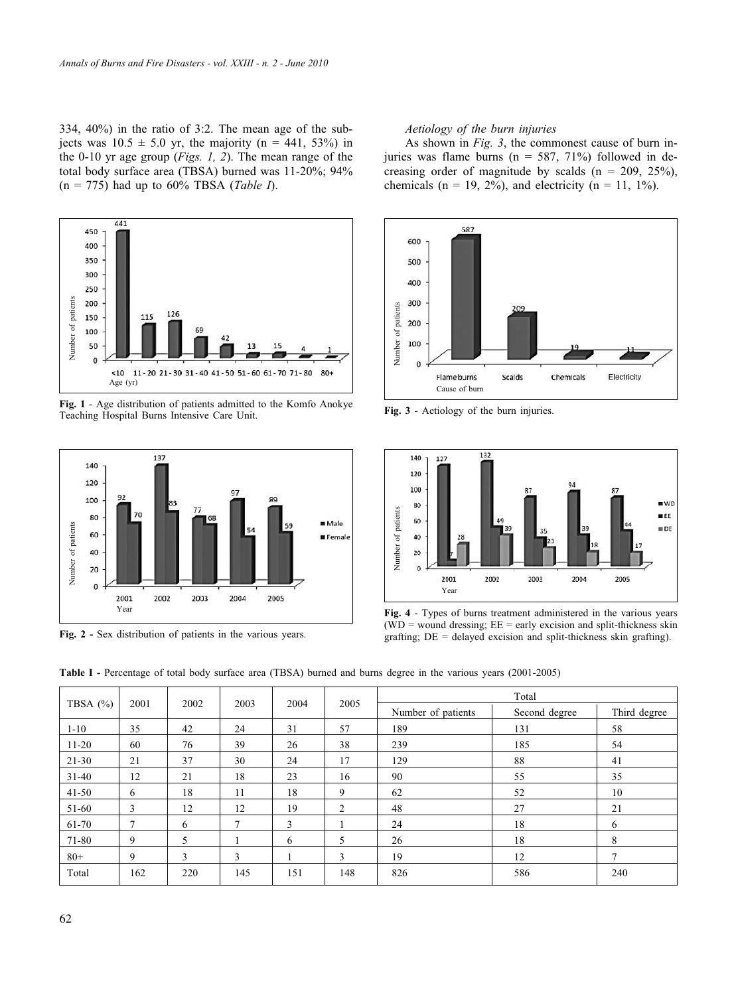334, 40%) in the ratio of 3:2. The mean age of the subjects was  $10.5 \pm 5.0$  yr, the majority (n = 441, 53%) in the 0-10 yr age group (*Figs. 1, 2*). The mean range of the total body surface area (TBSA) burned was 11-20%; 94% (n = 775) had up to 60% TBSA (*Table I*).



**Fig. 1** - Age distribution of patients admitted to the Komfo Anokye Teaching Hospital Burns Intensive Care Unit.



**Fig. 2 -** Sex distribution of patients in the various years.

## *Aetiology of the burn injuries*

As shown in *Fig. 3*, the commonest cause of burn injuries was flame burns ( $n = 587, 71\%$ ) followed in decreasing order of magnitude by scalds ( $n = 209, 25\%$ ), chemicals ( $n = 19, 2\%$ ), and electricity ( $n = 11, 1\%$ ).



**Fig. 3** - Aetiology of the burn injuries.



**Fig. 4** - Types of burns treatment administered in the various years ( $WD$  = wound dressing;  $EE$  = early excision and split-thickness skin grafting;  $DE =$  delayed excision and split-thickness skin grafting).

| <b>Table I</b> - Percentage of total body surface area (TBSA) burned and burns degree in the various years (2001-2005) |  |  |  |
|------------------------------------------------------------------------------------------------------------------------|--|--|--|
|------------------------------------------------------------------------------------------------------------------------|--|--|--|

| TBSA $(\% )$ |               |      | 2003          | 2004 | 2005                     | Total              |               |              |
|--------------|---------------|------|---------------|------|--------------------------|--------------------|---------------|--------------|
|              | 2001          | 2002 |               |      |                          | Number of patients | Second degree | Third degree |
| $1 - 10$     | 35            | 42   | 24            | 31   | 57                       | 189                | 131           | 58           |
| $11 - 20$    | 60            | 76   | 39            | 26   | 38                       | 239                | 185           | 54           |
| 21-30        | 21            | 37   | 30            | 24   | 17                       | 129                | 88            | 41           |
| $31 - 40$    | 12            | 21   | 18            | 23   | 16                       | 90                 | 55            | 35           |
| $41 - 50$    | 6             | 18   | 11            | 18   | 9                        | 62                 | 52            | 10           |
| 51-60        | 3             | 12   | 12            | 19   | 2                        | 48                 | 27            | 21           |
| 61-70        | $\mathcal{I}$ | 6    | $\mathcal{I}$ | 3    |                          | 24                 | 18            | 6            |
| 71-80        | 9             | 5    |               | 6    | $\overline{\phantom{0}}$ | 26                 | 18            | 8            |
| $80+$        | 9             | 3    | 3             |      | 3                        | 19                 | 12            | 7            |
| Total        | 162           | 220  | 145           | 151  | 148                      | 826                | 586           | 240          |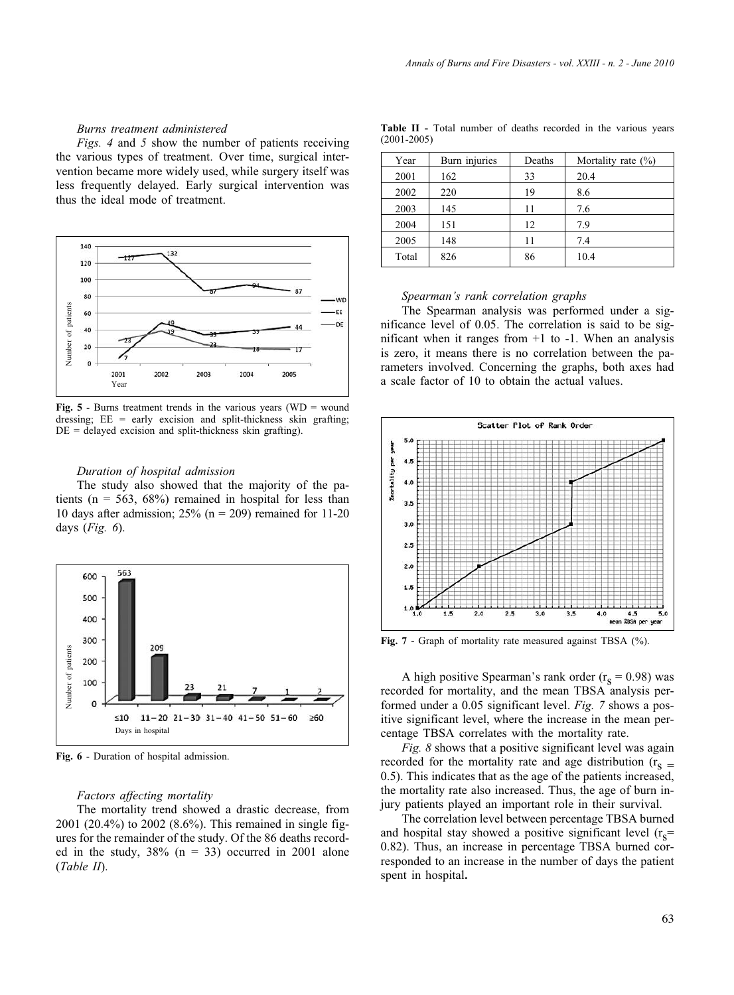#### *Burns treatment administered*

*Figs. 4* and *5* show the number of patients receiving the various types of treatment. Over time, surgical intervention became more widely used, while surgery itself was less frequently delayed. Early surgical intervention was thus the ideal mode of treatment.



**Fig. 5** - Burns treatment trends in the various years ( $WD =$  wound dressing; EE = early excision and split-thickness skin grafting;  $DE =$  delayed excision and split-thickness skin grafting).

#### *Duration of hospital admission*

The study also showed that the majority of the patients ( $n = 563$ ,  $68\%$ ) remained in hospital for less than 10 days after admission;  $25\%$  (n = 209) remained for 11-20 days (*Fig. 6*).



**Fig. 6** - Duration of hospital admission.

#### *Factors affecting mortality*

The mortality trend showed a drastic decrease, from 2001 (20.4%) to 2002 (8.6%). This remained in single figures for the remainder of the study. Of the 86 deaths recorded in the study,  $38\%$  (n = 33) occurred in 2001 alone (*Table II*).

| Table II - Total number of deaths recorded in the various years |  |  |  |  |  |
|-----------------------------------------------------------------|--|--|--|--|--|
| $(2001 - 2005)$                                                 |  |  |  |  |  |
|                                                                 |  |  |  |  |  |

| Year  | Burn injuries | Deaths | Mortality rate $(\% )$ |
|-------|---------------|--------|------------------------|
| 2001  | 162           | 33     | 20.4                   |
| 2002  | 220           | 19     | 8.6                    |
| 2003  | 145           | 11     | 7.6                    |
| 2004  | 151           | 12     | 7.9                    |
| 2005  | 148           | 11     | 7.4                    |
| Total | 826           | 86     | 10.4                   |

#### *Spearman's rank correlation graphs*

The Spearman analysis was performed under a significance level of 0.05. The correlation is said to be significant when it ranges from  $+1$  to  $-1$ . When an analysis is zero, it means there is no correlation between the parameters involved. Concerning the graphs, both axes had a scale factor of 10 to obtain the actual values.



**Fig. 7** - Graph of mortality rate measured against TBSA (%).

A high positive Spearman's rank order  $(r_s = 0.98)$  was recorded for mortality, and the mean TBSA analysis performed under a 0.05 significant level. *Fig. 7* shows a positive significant level, where the increase in the mean percentage TBSA correlates with the mortality rate.

*Fig. 8* shows that a positive significant level was again recorded for the mortality rate and age distribution ( $r_s = 0.5$ ). This indicates that as the age of the patients increased, the mortality rate also increased. Thus, the age of burn injury patients played an important role in their survival.

The correlation level between percentage TBSA burned and hospital stay showed a positive significant level  $(r_s=$ 0.82). Thus, an increase in percentage TBSA burned corresponded to an increase in the number of days the patient spent in hospital**.**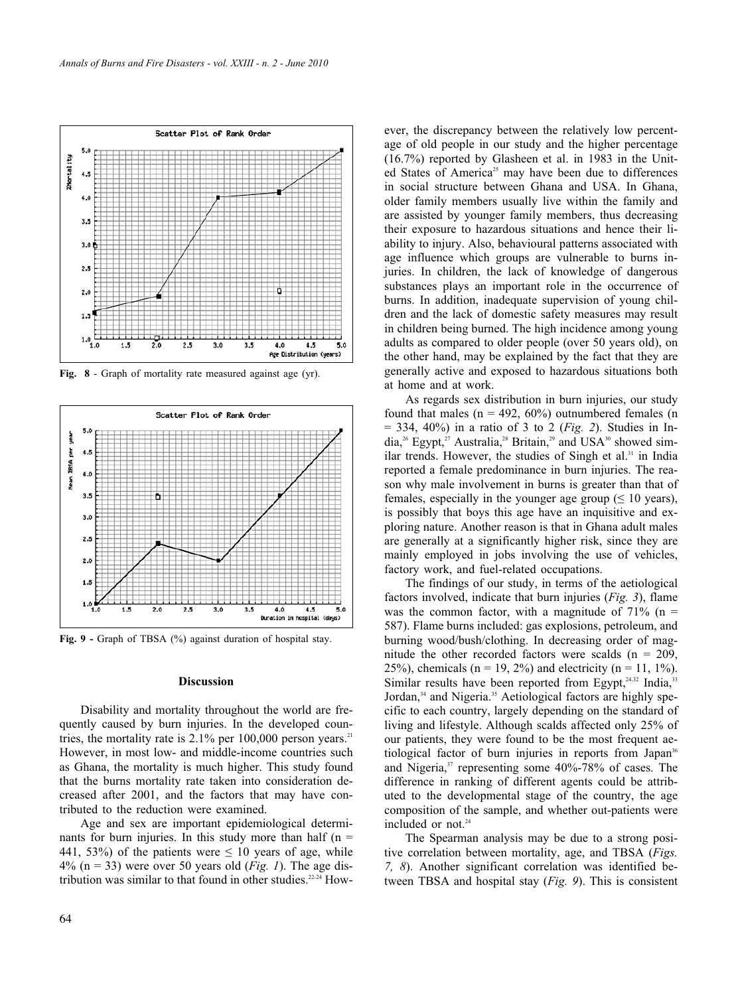

**Fig. 8** - Graph of mortality rate measured against age (yr).



Fig. 9 - Graph of TBSA (%) against duration of hospital stay.

## **Discussion**

Disability and mortality throughout the world are frequently caused by burn injuries. In the developed countries, the mortality rate is  $2.1\%$  per 100,000 person years.<sup>21</sup> However, in most low- and middle-income countries such as Ghana, the mortality is much higher. This study found that the burns mortality rate taken into consideration decreased after 2001, and the factors that may have contributed to the reduction were examined.

Age and sex are important epidemiological determinants for burn injuries. In this study more than half ( $n =$ 441, 53%) of the patients were  $\leq 10$  years of age, while 4% (n = 33) were over 50 years old (*Fig. 1*). The age distribution was similar to that found in other studies.<sup>22-24</sup> However, the discrepancy between the relatively low percentage of old people in our study and the higher percentage (16.7%) reported by Glasheen et al. in 1983 in the United States of America<sup>25</sup> may have been due to differences in social structure between Ghana and USA. In Ghana, older family members usually live within the family and are assisted by younger family members, thus decreasing their exposure to hazardous situations and hence their liability to injury. Also, behavioural patterns associated with age influence which groups are vulnerable to burns injuries. In children, the lack of knowledge of dangerous substances plays an important role in the occurrence of burns. In addition, inadequate supervision of young children and the lack of domestic safety measures may result in children being burned. The high incidence among young adults as compared to older people (over 50 years old), on the other hand, may be explained by the fact that they are generally active and exposed to hazardous situations both at home and at work.

As regards sex distribution in burn injuries, our study found that males ( $n = 492, 60\%$ ) outnumbered females (n = 334, 40%) in a ratio of 3 to 2 (*Fig. 2*). Studies in India,<sup>26</sup> Egypt,<sup>27</sup> Australia,<sup>28</sup> Britain,<sup>29</sup> and USA<sup>30</sup> showed similar trends. However, the studies of Singh et al.<sup>31</sup> in India reported a female predominance in burn injuries. The reason why male involvement in burns is greater than that of females, especially in the younger age group ( $\leq 10$  years), is possibly that boys this age have an inquisitive and exploring nature. Another reason is that in Ghana adult males are generally at a significantly higher risk, since they are mainly employed in jobs involving the use of vehicles, factory work, and fuel-related occupations.

The findings of our study, in terms of the aetiological factors involved, indicate that burn injuries (*Fig. 3*), flame was the common factor, with a magnitude of  $71\%$  (n = 587). Flame burns included: gas explosions, petroleum, and burning wood/bush/clothing. In decreasing order of magnitude the other recorded factors were scalds ( $n = 209$ , 25%), chemicals ( $n = 19, 2%$ ) and electricity ( $n = 11, 1%$ ). Similar results have been reported from Egypt, $^{24,32}$  India, $^{33}$ Jordan,<sup>34</sup> and Nigeria.<sup>35</sup> Aetiological factors are highly specific to each country, largely depending on the standard of living and lifestyle. Although scalds affected only 25% of our patients, they were found to be the most frequent aetiological factor of burn injuries in reports from Japan<sup>36</sup> and Nigeria, $37$  representing some 40%-78% of cases. The difference in ranking of different agents could be attributed to the developmental stage of the country, the age composition of the sample, and whether out-patients were included or not.<sup>24</sup>

The Spearman analysis may be due to a strong positive correlation between mortality, age, and TBSA (*Figs. 7, 8*). Another significant correlation was identified between TBSA and hospital stay (*Fig. 9*). This is consistent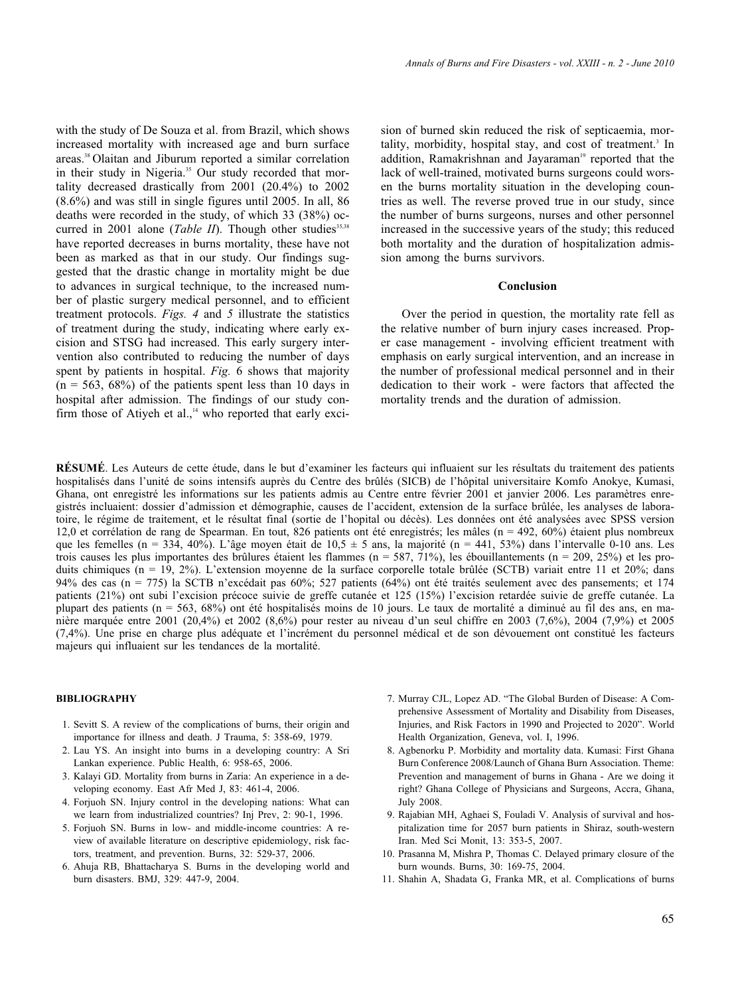with the study of De Souza et al. from Brazil, which shows increased mortality with increased age and burn surface areas.38 Olaitan and Jiburum reported a similar correlation in their study in Nigeria.<sup>35</sup> Our study recorded that mortality decreased drastically from 2001 (20.4%) to 2002 (8.6%) and was still in single figures until 2005. In all, 86 deaths were recorded in the study, of which 33 (38%) occurred in 2001 alone (*Table II*). Though other studies<sup>35,38</sup> have reported decreases in burns mortality, these have not been as marked as that in our study. Our findings suggested that the drastic change in mortality might be due to advances in surgical technique, to the increased number of plastic surgery medical personnel, and to efficient treatment protocols. *Figs. 4* and *5* illustrate the statistics of treatment during the study, indicating where early excision and STSG had increased. This early surgery intervention also contributed to reducing the number of days spent by patients in hospital. *Fig.* 6 shows that majority  $(n = 563, 68%)$  of the patients spent less than 10 days in hospital after admission. The findings of our study confirm those of Atiyeh et al., $14$  who reported that early exci-

sion of burned skin reduced the risk of septicaemia, mortality, morbidity, hospital stay, and cost of treatment.<sup>3</sup> In addition, Ramakrishnan and Jayaraman<sup>19</sup> reported that the lack of well-trained, motivated burns surgeons could worsen the burns mortality situation in the developing countries as well. The reverse proved true in our study, since the number of burns surgeons, nurses and other personnel increased in the successive years of the study; this reduced both mortality and the duration of hospitalization admission among the burns survivors.

## **Conclusion**

Over the period in question, the mortality rate fell as the relative number of burn injury cases increased. Proper case management - involving efficient treatment with emphasis on early surgical intervention, and an increase in the number of professional medical personnel and in their dedication to their work - were factors that affected the mortality trends and the duration of admission.

**RÉSUMÉ**. Les Auteurs de cette étude, dans le but d'examiner les facteurs qui influaient sur les résultats du traitement des patients hospitalisés dans l'unité de soins intensifs auprès du Centre des brûlés (SICB) de l'hôpital universitaire Komfo Anokye, Kumasi, Ghana, ont enregistré les informations sur les patients admis au Centre entre février 2001 et janvier 2006. Les paramètres enregistrés incluaient: dossier d'admission et démographie, causes de l'accident, extension de la surface brûlée, les analyses de laboratoire, le régime de traitement, et le résultat final (sortie de l'hopital ou décès). Les données ont été analysées avec SPSS version 12,0 et corrélation de rang de Spearman. En tout, 826 patients ont été enregistrés; les mâles (n = 492, 60%) étaient plus nombreux que les femelles (n = 334, 40%). L'âge moyen était de 10,5  $\pm$  5 ans, la majorité (n = 441, 53%) dans l'intervalle 0-10 ans. Les trois causes les plus importantes des brûlures étaient les flammes  $(n = 587, 71\%)$ , les ébouillantements  $(n = 209, 25\%)$  et les produits chimiques (n = 19, 2%). L'extension moyenne de la surface corporelle totale brûlée (SCTB) variait entre 11 et 20%; dans 94% des cas (n = 775) la SCTB n'excédait pas 60%; 527 patients (64%) ont été traités seulement avec des pansements; et 174 patients (21%) ont subi l'excision précoce suivie de greffe cutanée et 125 (15%) l'excision retardée suivie de greffe cutanée. La plupart des patients (n = 563, 68%) ont été hospitalisés moins de 10 jours. Le taux de mortalité a diminué au fil des ans, en manière marquée entre 2001 (20,4%) et 2002 (8,6%) pour rester au niveau d'un seul chiffre en 2003 (7,6%), 2004 (7,9%) et 2005 (7,4%). Une prise en charge plus adéquate et l'incrément du personnel médical et de son dévouement ont constitué les facteurs majeurs qui influaient sur les tendances de la mortalité.

#### **BIBLIOGRAPHY**

- 1. Sevitt S. A review of the complications of burns, their origin and importance for illness and death. J Trauma, 5: 358-69, 1979.
- 2. Lau YS. An insight into burns in a developing country: A Sri Lankan experience. Public Health, 6: 958-65, 2006.
- 3. Kalayi GD. Mortality from burns in Zaria: An experience in a developing economy. East Afr Med J, 83: 461-4, 2006.
- 4. Forjuoh SN. Injury control in the developing nations: What can we learn from industrialized countries? Inj Prev, 2: 90-1, 1996.
- 5. Forjuoh SN. Burns in low- and middle-income countries: A review of available literature on descriptive epidemiology, risk factors, treatment, and prevention. Burns, 32: 529-37, 2006.
- 6. Ahuja RB, Bhattacharya S. Burns in the developing world and burn disasters. BMJ, 329: 447-9, 2004.
- 7. Murray CJL, Lopez AD. "The Global Burden of Disease: A Comprehensive Assessment of Mortality and Disability from Diseases, Injuries, and Risk Factors in 1990 and Projected to 2020". World Health Organization, Geneva, vol. I, 1996.
- 8. Agbenorku P. Morbidity and mortality data. Kumasi: First Ghana Burn Conference 2008/Launch of Ghana Burn Association. Theme: Prevention and management of burns in Ghana - Are we doing it right? Ghana College of Physicians and Surgeons, Accra, Ghana, July 2008.
- 9. Rajabian MH, Aghaei S, Fouladi V. Analysis of survival and hospitalization time for 2057 burn patients in Shiraz, south-western Iran. Med Sci Monit, 13: 353-5, 2007.
- 10. Prasanna M, Mishra P, Thomas C. Delayed primary closure of the burn wounds. Burns, 30: 169-75, 2004.
- 11. Shahin A, Shadata G, Franka MR, et al. Complications of burns